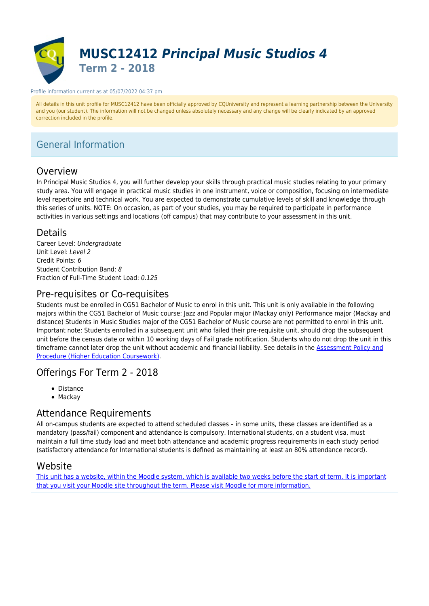

#### Profile information current as at 05/07/2022 04:37 pm

All details in this unit profile for MUSC12412 have been officially approved by CQUniversity and represent a learning partnership between the University and you (our student). The information will not be changed unless absolutely necessary and any change will be clearly indicated by an approved correction included in the profile.

# General Information

## Overview

In Principal Music Studios 4, you will further develop your skills through practical music studies relating to your primary study area. You will engage in practical music studies in one instrument, voice or composition, focusing on intermediate level repertoire and technical work. You are expected to demonstrate cumulative levels of skill and knowledge through this series of units. NOTE: On occasion, as part of your studies, you may be required to participate in performance activities in various settings and locations (off campus) that may contribute to your assessment in this unit.

## Details

Career Level: Undergraduate Unit Level: Level 2 Credit Points: 6 Student Contribution Band: 8 Fraction of Full-Time Student Load: 0.125

## Pre-requisites or Co-requisites

Students must be enrolled in CG51 Bachelor of Music to enrol in this unit. This unit is only available in the following majors within the CG51 Bachelor of Music course: Jazz and Popular major (Mackay only) Performance major (Mackay and distance) Students in Music Studies major of the CG51 Bachelor of Music course are not permitted to enrol in this unit. Important note: Students enrolled in a subsequent unit who failed their pre-requisite unit, should drop the subsequent unit before the census date or within 10 working days of Fail grade notification. Students who do not drop the unit in this timeframe cannot later drop the unit without academic and financial liability. See details in the **Assessment Policy and** [Procedure \(Higher Education Coursework\)](https://www.cqu.edu.au/policy).

## Offerings For Term 2 - 2018

- Distance
- Mackay

## Attendance Requirements

All on-campus students are expected to attend scheduled classes – in some units, these classes are identified as a mandatory (pass/fail) component and attendance is compulsory. International students, on a student visa, must maintain a full time study load and meet both attendance and academic progress requirements in each study period (satisfactory attendance for International students is defined as maintaining at least an 80% attendance record).

## Website

[This unit has a website, within the Moodle system, which is available two weeks before the start of term. It is important](https://moodle.cqu.edu.au) [that you visit your Moodle site throughout the term. Please visit Moodle for more information.](https://moodle.cqu.edu.au)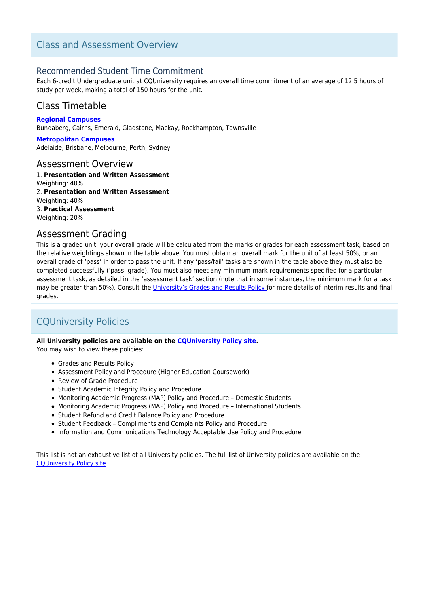## Class and Assessment Overview

## Recommended Student Time Commitment

Each 6-credit Undergraduate unit at CQUniversity requires an overall time commitment of an average of 12.5 hours of study per week, making a total of 150 hours for the unit.

## Class Timetable

**[Regional Campuses](https://handbook.cqu.edu.au/facet/timetables)** Bundaberg, Cairns, Emerald, Gladstone, Mackay, Rockhampton, Townsville

**[Metropolitan Campuses](https://handbook.cqu.edu.au/facet/timetables)** Adelaide, Brisbane, Melbourne, Perth, Sydney

### Assessment Overview

1. **Presentation and Written Assessment** Weighting: 40% 2. **Presentation and Written Assessment** Weighting: 40% 3. **Practical Assessment** Weighting: 20%

## Assessment Grading

This is a graded unit: your overall grade will be calculated from the marks or grades for each assessment task, based on the relative weightings shown in the table above. You must obtain an overall mark for the unit of at least 50%, or an overall grade of 'pass' in order to pass the unit. If any 'pass/fail' tasks are shown in the table above they must also be completed successfully ('pass' grade). You must also meet any minimum mark requirements specified for a particular assessment task, as detailed in the 'assessment task' section (note that in some instances, the minimum mark for a task may be greater than 50%). Consult the [University's Grades and Results Policy](https://www.cqu.edu.au/policy) for more details of interim results and final grades.

# CQUniversity Policies

### **All University policies are available on the [CQUniversity Policy site.](https://policy.cqu.edu.au/)**

You may wish to view these policies:

- Grades and Results Policy
- Assessment Policy and Procedure (Higher Education Coursework)
- Review of Grade Procedure
- Student Academic Integrity Policy and Procedure
- Monitoring Academic Progress (MAP) Policy and Procedure Domestic Students
- Monitoring Academic Progress (MAP) Policy and Procedure International Students
- Student Refund and Credit Balance Policy and Procedure
- Student Feedback Compliments and Complaints Policy and Procedure
- Information and Communications Technology Acceptable Use Policy and Procedure

This list is not an exhaustive list of all University policies. The full list of University policies are available on the [CQUniversity Policy site.](https://policy.cqu.edu.au/)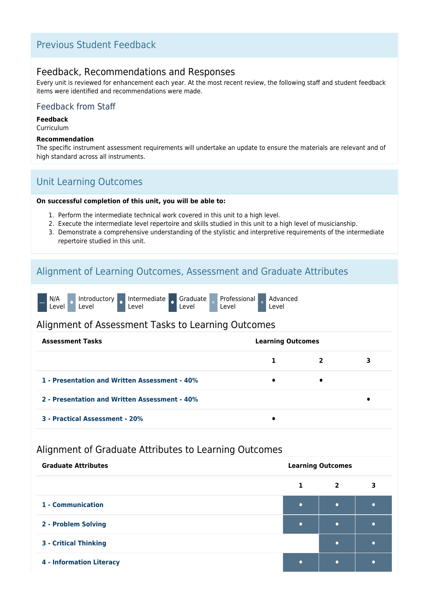## Previous Student Feedback

## Feedback, Recommendations and Responses

Every unit is reviewed for enhancement each year. At the most recent review, the following staff and student feedback items were identified and recommendations were made.

## Feedback from Staff

### **Feedback**

Curriculum

#### **Recommendation**

The specific instrument assessment requirements will undertake an update to ensure the materials are relevant and of high standard across all instruments.

## Unit Learning Outcomes

### **On successful completion of this unit, you will be able to:**

- 1. Perform the intermediate technical work covered in this unit to a high level.
- 2. Execute the intermediate level repertoire and skills studied in this unit to a high level of musicianship.
- 3. Demonstrate a comprehensive understanding of the stylistic and interpretive requirements of the intermediate repertoire studied in this unit.

## Alignment of Learning Outcomes, Assessment and Graduate Attributes

|  | N/A<br>Level <sup>'</sup> | Introductory<br>Level | Intermediate Graduate Professional<br>Level |  | Level |  | Level |  | Advanced<br>Level |
|--|---------------------------|-----------------------|---------------------------------------------|--|-------|--|-------|--|-------------------|
|--|---------------------------|-----------------------|---------------------------------------------|--|-------|--|-------|--|-------------------|

## Alignment of Assessment Tasks to Learning Outcomes

| <b>Assessment Tasks</b>                       | <b>Learning Outcomes</b> |                |   |
|-----------------------------------------------|--------------------------|----------------|---|
|                                               |                          | $\overline{2}$ | 3 |
| 1 - Presentation and Written Assessment - 40% | $\bullet$                | $\bullet$      |   |
| 2 - Presentation and Written Assessment - 40% |                          |                |   |
| 3 - Practical Assessment - 20%                |                          |                |   |

## Alignment of Graduate Attributes to Learning Outcomes

| <b>Graduate Attributes</b>      |           | <b>Learning Outcomes</b> |  |
|---------------------------------|-----------|--------------------------|--|
|                                 |           | $\overline{2}$           |  |
| 1 - Communication               | $\bullet$ | $\bullet$                |  |
| 2 - Problem Solving             |           | $\bullet$                |  |
| <b>3 - Critical Thinking</b>    |           | $\bullet$                |  |
| <b>4 - Information Literacy</b> | $\bullet$ | ٠                        |  |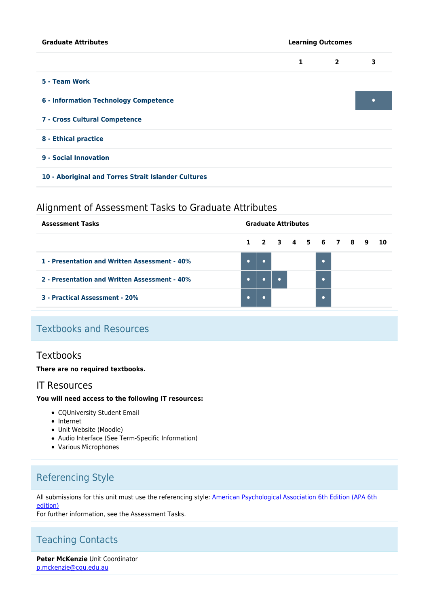| <b>Graduate Attributes</b><br><b>Learning Outcomes</b> |              |                |           |
|--------------------------------------------------------|--------------|----------------|-----------|
|                                                        | $\mathbf{1}$ | $\overline{2}$ | 3         |
| 5 - Team Work                                          |              |                |           |
| 6 - Information Technology Competence                  |              |                | $\bullet$ |
| 7 - Cross Cultural Competence                          |              |                |           |
| 8 - Ethical practice                                   |              |                |           |
| 9 - Social Innovation                                  |              |                |           |
| 10 - Aboriginal and Torres Strait Islander Cultures    |              |                |           |

## Alignment of Assessment Tasks to Graduate Attributes

| <b>Assessment Tasks</b>                       |           | <b>Graduate Attributes</b> |           |  |  |                      |  |  |  |
|-----------------------------------------------|-----------|----------------------------|-----------|--|--|----------------------|--|--|--|
|                                               |           |                            |           |  |  | 1 2 3 4 5 6 7 8 9 10 |  |  |  |
| 1 - Presentation and Written Assessment - 40% | $\bullet$ |                            |           |  |  |                      |  |  |  |
| 2 - Presentation and Written Assessment - 40% | $\bullet$ |                            | $\bullet$ |  |  |                      |  |  |  |
| 3 - Practical Assessment - 20%                |           |                            |           |  |  |                      |  |  |  |

# Textbooks and Resources

## **Textbooks**

### **There are no required textbooks.**

## IT Resources

### **You will need access to the following IT resources:**

- CQUniversity Student Email
- Internet
- Unit Website (Moodle)
- Audio Interface (See Term-Specific Information)
- Various Microphones

# Referencing Style

All submissions for this unit must use the referencing style: [American Psychological Association 6th Edition \(APA 6th](https://sportal.cqu.edu.au/__data/assets/pdf_file/0026/107684/APA_Referencing_Guide-2019.pdf) [edition\)](https://sportal.cqu.edu.au/__data/assets/pdf_file/0026/107684/APA_Referencing_Guide-2019.pdf)

For further information, see the Assessment Tasks.

# Teaching Contacts

**Peter McKenzie** Unit Coordinator [p.mckenzie@cqu.edu.au](mailto:p.mckenzie@cqu.edu.au)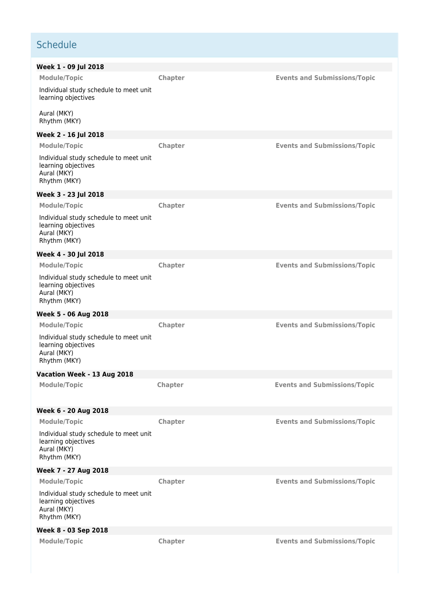# **Schedule**

| Week 1 - 09 Jul 2018                                                                         |                |                                     |
|----------------------------------------------------------------------------------------------|----------------|-------------------------------------|
| Module/Topic                                                                                 | Chapter        | <b>Events and Submissions/Topic</b> |
| Individual study schedule to meet unit<br>learning objectives                                |                |                                     |
| Aural (MKY)<br>Rhythm (MKY)                                                                  |                |                                     |
| Week 2 - 16 Jul 2018                                                                         |                |                                     |
| Module/Topic                                                                                 | Chapter        | <b>Events and Submissions/Topic</b> |
| Individual study schedule to meet unit<br>learning objectives<br>Aural (MKY)<br>Rhythm (MKY) |                |                                     |
| Week 3 - 23 Jul 2018                                                                         |                |                                     |
| Module/Topic                                                                                 | Chapter        | <b>Events and Submissions/Topic</b> |
| Individual study schedule to meet unit<br>learning objectives<br>Aural (MKY)<br>Rhythm (MKY) |                |                                     |
| Week 4 - 30 Jul 2018                                                                         |                |                                     |
| <b>Module/Topic</b>                                                                          | Chapter        | <b>Events and Submissions/Topic</b> |
| Individual study schedule to meet unit<br>learning objectives<br>Aural (MKY)<br>Rhythm (MKY) |                |                                     |
| Week 5 - 06 Aug 2018                                                                         |                |                                     |
| Module/Topic                                                                                 | Chapter        | <b>Events and Submissions/Topic</b> |
| Individual study schedule to meet unit<br>learning objectives<br>Aural (MKY)<br>Rhythm (MKY) |                |                                     |
| Vacation Week - 13 Aug 2018                                                                  |                |                                     |
| <b>Module/Topic</b>                                                                          | <b>Chapter</b> | <b>Events and Submissions/Topic</b> |
| Week 6 - 20 Aug 2018                                                                         |                |                                     |
| <b>Module/Topic</b>                                                                          | <b>Chapter</b> | <b>Events and Submissions/Topic</b> |
| Individual study schedule to meet unit<br>learning objectives<br>Aural (MKY)<br>Rhythm (MKY) |                |                                     |
| Week 7 - 27 Aug 2018                                                                         |                |                                     |
| <b>Module/Topic</b>                                                                          | Chapter        | <b>Events and Submissions/Topic</b> |
| Individual study schedule to meet unit<br>learning objectives<br>Aural (MKY)<br>Rhythm (MKY) |                |                                     |
| Week 8 - 03 Sep 2018                                                                         |                |                                     |
| <b>Module/Topic</b>                                                                          | Chapter        | <b>Events and Submissions/Topic</b> |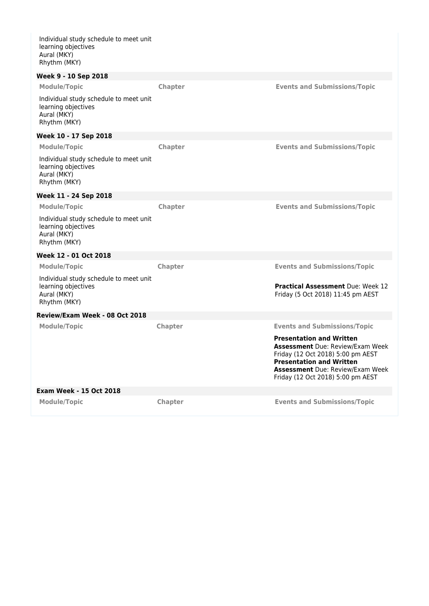Individual study schedule to meet unit learning objectives Aural (MKY) Rhythm (MKY)

| Week 9 - 10 Sep 2018                                                                         |                |                                                                                                                                                                                                                                    |
|----------------------------------------------------------------------------------------------|----------------|------------------------------------------------------------------------------------------------------------------------------------------------------------------------------------------------------------------------------------|
| <b>Module/Topic</b>                                                                          | Chapter        | <b>Events and Submissions/Topic</b>                                                                                                                                                                                                |
| Individual study schedule to meet unit<br>learning objectives<br>Aural (MKY)<br>Rhythm (MKY) |                |                                                                                                                                                                                                                                    |
| Week 10 - 17 Sep 2018                                                                        |                |                                                                                                                                                                                                                                    |
| <b>Module/Topic</b>                                                                          | Chapter        | <b>Events and Submissions/Topic</b>                                                                                                                                                                                                |
| Individual study schedule to meet unit<br>learning objectives<br>Aural (MKY)<br>Rhythm (MKY) |                |                                                                                                                                                                                                                                    |
| Week 11 - 24 Sep 2018                                                                        |                |                                                                                                                                                                                                                                    |
| <b>Module/Topic</b>                                                                          | Chapter        | <b>Events and Submissions/Topic</b>                                                                                                                                                                                                |
| Individual study schedule to meet unit<br>learning objectives<br>Aural (MKY)<br>Rhythm (MKY) |                |                                                                                                                                                                                                                                    |
| Week 12 - 01 Oct 2018                                                                        |                |                                                                                                                                                                                                                                    |
| <b>Module/Topic</b>                                                                          | Chapter        | <b>Events and Submissions/Topic</b>                                                                                                                                                                                                |
| Individual study schedule to meet unit<br>learning objectives<br>Aural (MKY)<br>Rhythm (MKY) |                | <b>Practical Assessment Due: Week 12</b><br>Friday (5 Oct 2018) 11:45 pm AEST                                                                                                                                                      |
| Review/Exam Week - 08 Oct 2018                                                               |                |                                                                                                                                                                                                                                    |
| <b>Module/Topic</b>                                                                          | <b>Chapter</b> | <b>Events and Submissions/Topic</b>                                                                                                                                                                                                |
|                                                                                              |                | <b>Presentation and Written</b><br><b>Assessment</b> Due: Review/Exam Week<br>Friday (12 Oct 2018) 5:00 pm AEST<br><b>Presentation and Written</b><br><b>Assessment</b> Due: Review/Exam Week<br>Friday (12 Oct 2018) 5:00 pm AEST |
| <b>Exam Week - 15 Oct 2018</b>                                                               |                |                                                                                                                                                                                                                                    |
| <b>Module/Topic</b>                                                                          | Chapter        | <b>Events and Submissions/Topic</b>                                                                                                                                                                                                |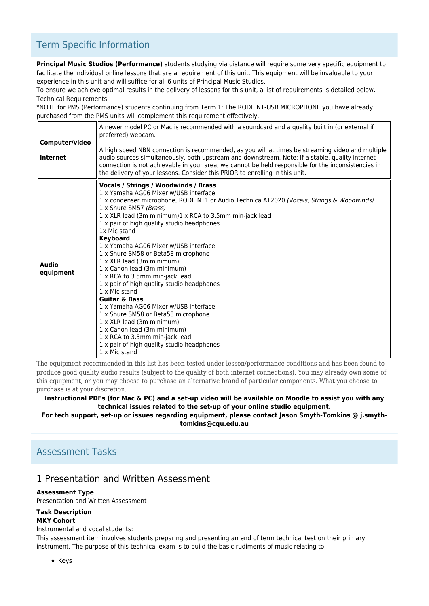# Term Specific Information

**Principal Music Studios (Performance)** students studying via distance will require some very specific equipment to facilitate the individual online lessons that are a requirement of this unit. This equipment will be invaluable to your experience in this unit and will suffice for all 6 units of Principal Music Studios.

To ensure we achieve optimal results in the delivery of lessons for this unit, a list of requirements is detailed below. Technical Requirements

\*NOTE for PMS (Performance) students continuing from Term 1: The RODE NT-USB MICROPHONE you have already purchased from the PMS units will complement this requirement effectively.

| Computer/video<br><b>Internet</b> | A newer model PC or Mac is recommended with a soundcard and a quality built in (or external if<br>preferred) webcam.<br>A high speed NBN connection is recommended, as you will at times be streaming video and multiple<br>audio sources simultaneously, both upstream and downstream. Note: If a stable, quality internet<br>connection is not achievable in your area, we cannot be held responsible for the inconsistencies in<br>the delivery of your lessons. Consider this PRIOR to enrolling in this unit.                                                                                                                                                                                                                                                                                                                                                     |
|-----------------------------------|------------------------------------------------------------------------------------------------------------------------------------------------------------------------------------------------------------------------------------------------------------------------------------------------------------------------------------------------------------------------------------------------------------------------------------------------------------------------------------------------------------------------------------------------------------------------------------------------------------------------------------------------------------------------------------------------------------------------------------------------------------------------------------------------------------------------------------------------------------------------|
| <b>Audio</b><br>equipment         | Vocals / Strings / Woodwinds / Brass<br>1 x Yamaha AG06 Mixer w/USB interface<br>1 x condenser microphone, RODE NT1 or Audio Technica AT2020 (Vocals, Strings & Woodwinds)<br>1 x Shure SM57 (Brass)<br>1 x XLR lead (3m minimum)1 x RCA to 3.5mm min-jack lead<br>1 x pair of high quality studio headphones<br>1x Mic stand<br><b>Keyboard</b><br>1 x Yamaha AG06 Mixer w/USB interface<br>1 x Shure SM58 or Beta58 microphone<br>1 x XLR lead (3m minimum)<br>1 x Canon lead (3m minimum)<br>1 x RCA to 3.5mm min-jack lead<br>1 x pair of high quality studio headphones<br>1 x Mic stand<br><b>Guitar &amp; Bass</b><br>1 x Yamaha AG06 Mixer w/USB interface<br>1 x Shure SM58 or Beta58 microphone<br>1 x XLR lead (3m minimum)<br>1 x Canon lead (3m minimum)<br>1 x RCA to 3.5mm min-jack lead<br>1 x pair of high quality studio headphones<br>1 x Mic stand |

The equipment recommended in this list has been tested under lesson/performance conditions and has been found to produce good quality audio results (subject to the quality of both internet connections). You may already own some of this equipment, or you may choose to purchase an alternative brand of particular components. What you choose to purchase is at your discretion.

**Instructional PDFs (for Mac & PC) and a set-up video will be available on Moodle to assist you with any technical issues related to the set-up of your online studio equipment.**

**For tech support, set-up or issues regarding equipment, please contact Jason Smyth-Tomkins @ j.smythtomkins@cqu.edu.au**

## Assessment Tasks

## 1 Presentation and Written Assessment

### **Assessment Type**

Presentation and Written Assessment

#### **Task Description MKY Cohort**

Instrumental and vocal students:

This assessment item involves students preparing and presenting an end of term technical test on their primary instrument. The purpose of this technical exam is to build the basic rudiments of music relating to: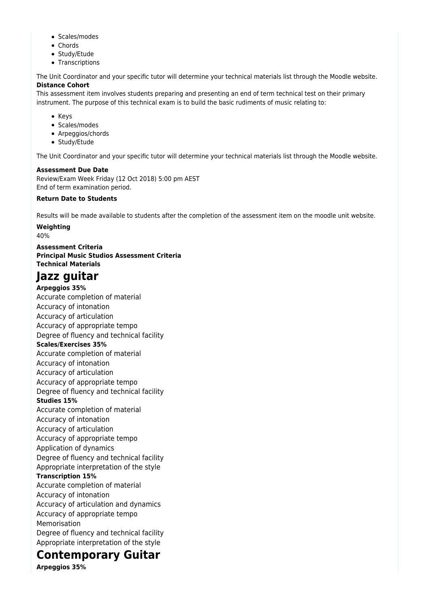- Scales/modes
- Chords
- Study/Etude
- Transcriptions

The Unit Coordinator and your specific tutor will determine your technical materials list through the Moodle website. **Distance Cohort**

This assessment item involves students preparing and presenting an end of term technical test on their primary instrument. The purpose of this technical exam is to build the basic rudiments of music relating to:

- Keys
- Scales/modes
- Arpeggios/chords
- Study/Etude

The Unit Coordinator and your specific tutor will determine your technical materials list through the Moodle website.

#### **Assessment Due Date**

Review/Exam Week Friday (12 Oct 2018) 5:00 pm AEST End of term examination period.

#### **Return Date to Students**

Results will be made available to students after the completion of the assessment item on the moodle unit website.

**Weighting** 40%

**Assessment Criteria Principal Music Studios Assessment Criteria Technical Materials**

# **Jazz guitar**

**Arpeggios 35%** Accurate completion of material Accuracy of intonation Accuracy of articulation Accuracy of appropriate tempo Degree of fluency and technical facility **Scales/Exercises 35%** Accurate completion of material Accuracy of intonation Accuracy of articulation Accuracy of appropriate tempo Degree of fluency and technical facility **Studies 15%** Accurate completion of material Accuracy of intonation Accuracy of articulation Accuracy of appropriate tempo Application of dynamics Degree of fluency and technical facility Appropriate interpretation of the style **Transcription 15%** Accurate completion of material Accuracy of intonation Accuracy of articulation and dynamics Accuracy of appropriate tempo Memorisation Degree of fluency and technical facility Appropriate interpretation of the style

# **Contemporary Guitar**

**Arpeggios 35%**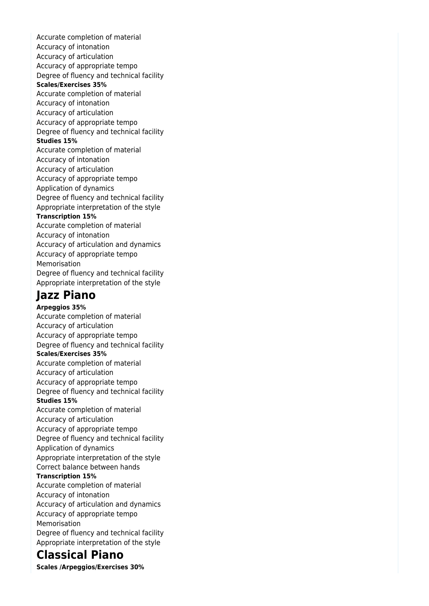Accurate completion of material Accuracy of intonation Accuracy of articulation Accuracy of appropriate tempo Degree of fluency and technical facility **Scales/Exercises 35%** Accurate completion of material Accuracy of intonation Accuracy of articulation Accuracy of appropriate tempo Degree of fluency and technical facility **Studies 15%** Accurate completion of material Accuracy of intonation Accuracy of articulation Accuracy of appropriate tempo Application of dynamics Degree of fluency and technical facility Appropriate interpretation of the style **Transcription 15%** Accurate completion of material Accuracy of intonation Accuracy of articulation and dynamics Accuracy of appropriate tempo Memorisation Degree of fluency and technical facility Appropriate interpretation of the style

# **Jazz Piano**

**Arpeggios 35%** Accurate completion of material Accuracy of articulation Accuracy of appropriate tempo Degree of fluency and technical facility **Scales/Exercises 35%** Accurate completion of material Accuracy of articulation Accuracy of appropriate tempo Degree of fluency and technical facility **Studies 15%** Accurate completion of material Accuracy of articulation Accuracy of appropriate tempo Degree of fluency and technical facility Application of dynamics Appropriate interpretation of the style Correct balance between hands **Transcription 15%** Accurate completion of material Accuracy of intonation Accuracy of articulation and dynamics Accuracy of appropriate tempo Memorisation Degree of fluency and technical facility Appropriate interpretation of the style

# **Classical Piano**

**Scales /Arpeggios/Exercises 30%**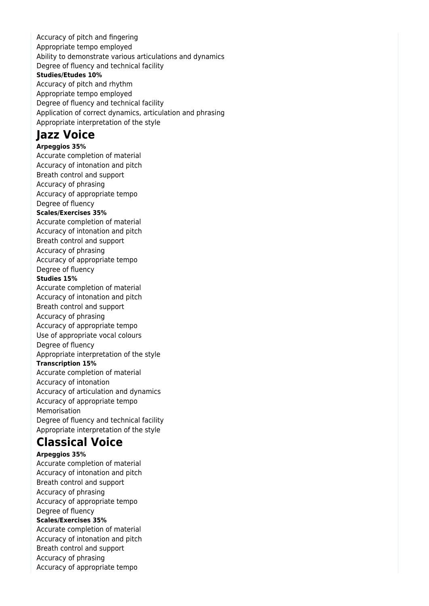Accuracy of pitch and fingering Appropriate tempo employed Ability to demonstrate various articulations and dynamics Degree of fluency and technical facility **Studies/Etudes 10%** Accuracy of pitch and rhythm Appropriate tempo employed Degree of fluency and technical facility Application of correct dynamics, articulation and phrasing Appropriate interpretation of the style

# **Jazz Voice**

**Arpeggios 35%** Accurate completion of material Accuracy of intonation and pitch Breath control and support Accuracy of phrasing Accuracy of appropriate tempo Degree of fluency **Scales/Exercises 35%** Accurate completion of material Accuracy of intonation and pitch Breath control and support Accuracy of phrasing Accuracy of appropriate tempo Degree of fluency **Studies 15%** Accurate completion of material Accuracy of intonation and pitch Breath control and support Accuracy of phrasing Accuracy of appropriate tempo Use of appropriate vocal colours Degree of fluency Appropriate interpretation of the style **Transcription 15%** Accurate completion of material Accuracy of intonation Accuracy of articulation and dynamics Accuracy of appropriate tempo Memorisation Degree of fluency and technical facility Appropriate interpretation of the style

# **Classical Voice**

**Arpeggios 35%** Accurate completion of material Accuracy of intonation and pitch Breath control and support Accuracy of phrasing Accuracy of appropriate tempo Degree of fluency **Scales/Exercises 35%** Accurate completion of material Accuracy of intonation and pitch Breath control and support Accuracy of phrasing Accuracy of appropriate tempo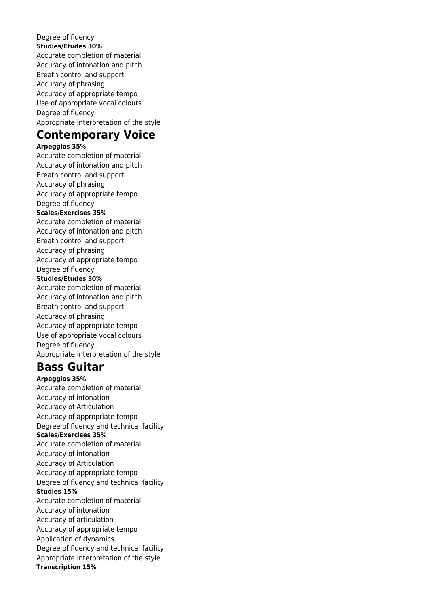### Degree of fluency **Studies/Etudes 30%**

Accurate completion of material Accuracy of intonation and pitch Breath control and support Accuracy of phrasing Accuracy of appropriate tempo Use of appropriate vocal colours Degree of fluency Appropriate interpretation of the style

# **Contemporary Voice**

### **Arpeggios 35%**

Accurate completion of material Accuracy of intonation and pitch Breath control and support Accuracy of phrasing Accuracy of appropriate tempo Degree of fluency **Scales/Exercises 35%** Accurate completion of material Accuracy of intonation and pitch Breath control and support Accuracy of phrasing Accuracy of appropriate tempo Degree of fluency **Studies/Etudes 30%** Accurate completion of material Accuracy of intonation and pitch Breath control and support Accuracy of phrasing Accuracy of appropriate tempo Use of appropriate vocal colours Degree of fluency Appropriate interpretation of the style

# **Bass Guitar**

**Arpeggios 35%** Accurate completion of material Accuracy of intonation Accuracy of Articulation Accuracy of appropriate tempo Degree of fluency and technical facility **Scales/Exercises 35%** Accurate completion of material Accuracy of intonation Accuracy of Articulation Accuracy of appropriate tempo Degree of fluency and technical facility **Studies 15%** Accurate completion of material Accuracy of intonation Accuracy of articulation Accuracy of appropriate tempo Application of dynamics Degree of fluency and technical facility Appropriate interpretation of the style **Transcription 15%**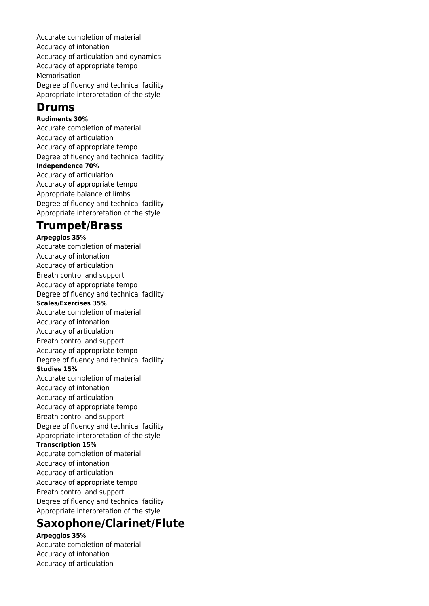Accurate completion of material Accuracy of intonation Accuracy of articulation and dynamics Accuracy of appropriate tempo Memorisation Degree of fluency and technical facility Appropriate interpretation of the style

# **Drums**

**Rudiments 30%** Accurate completion of material Accuracy of articulation Accuracy of appropriate tempo Degree of fluency and technical facility **Independence 70%** Accuracy of articulation Accuracy of appropriate tempo Appropriate balance of limbs Degree of fluency and technical facility Appropriate interpretation of the style

# **Trumpet/Brass**

**Arpeggios 35%** Accurate completion of material Accuracy of intonation Accuracy of articulation Breath control and support Accuracy of appropriate tempo Degree of fluency and technical facility **Scales/Exercises 35%** Accurate completion of material Accuracy of intonation Accuracy of articulation Breath control and support Accuracy of appropriate tempo Degree of fluency and technical facility **Studies 15%** Accurate completion of material Accuracy of intonation Accuracy of articulation Accuracy of appropriate tempo Breath control and support Degree of fluency and technical facility Appropriate interpretation of the style **Transcription 15%** Accurate completion of material Accuracy of intonation Accuracy of articulation Accuracy of appropriate tempo Breath control and support Degree of fluency and technical facility Appropriate interpretation of the style

# **Saxophone/Clarinet/Flute**

**Arpeggios 35%**

Accurate completion of material Accuracy of intonation Accuracy of articulation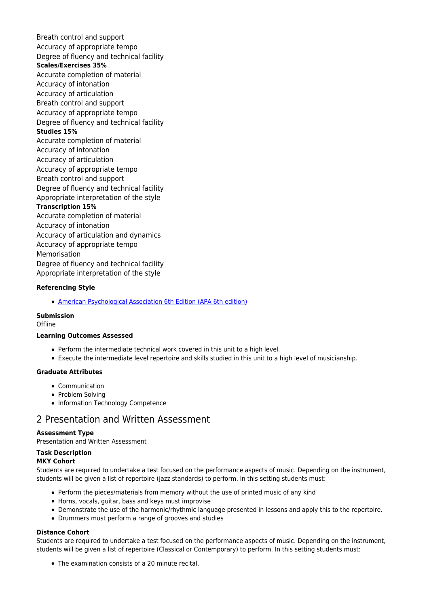Breath control and support Accuracy of appropriate tempo Degree of fluency and technical facility **Scales/Exercises 35%** Accurate completion of material Accuracy of intonation Accuracy of articulation Breath control and support Accuracy of appropriate tempo Degree of fluency and technical facility **Studies 15%** Accurate completion of material Accuracy of intonation Accuracy of articulation Accuracy of appropriate tempo Breath control and support Degree of fluency and technical facility Appropriate interpretation of the style **Transcription 15%** Accurate completion of material Accuracy of intonation Accuracy of articulation and dynamics Accuracy of appropriate tempo Memorisation Degree of fluency and technical facility

Appropriate interpretation of the style

#### **Referencing Style**

[American Psychological Association 6th Edition \(APA 6th edition\)](https://sportal.cqu.edu.au/__data/assets/pdf_file/0026/107684/APA_Referencing_Guide-2019.pdf)

#### **Submission**

**Offline** 

#### **Learning Outcomes Assessed**

- Perform the intermediate technical work covered in this unit to a high level.
- Execute the intermediate level repertoire and skills studied in this unit to a high level of musicianship.

#### **Graduate Attributes**

- Communication
- Problem Solving
- Information Technology Competence

### 2 Presentation and Written Assessment

#### **Assessment Type**

Presentation and Written Assessment

### **Task Description**

#### **MKY Cohort**

Students are required to undertake a test focused on the performance aspects of music. Depending on the instrument, students will be given a list of repertoire (jazz standards) to perform. In this setting students must:

- Perform the pieces/materials from memory without the use of printed music of any kind
- Horns, vocals, guitar, bass and keys must improvise
- Demonstrate the use of the harmonic/rhythmic language presented in lessons and apply this to the repertoire.
- Drummers must perform a range of grooves and studies

#### **Distance Cohort**

Students are required to undertake a test focused on the performance aspects of music. Depending on the instrument, students will be given a list of repertoire (Classical or Contemporary) to perform. In this setting students must:

The examination consists of a 20 minute recital.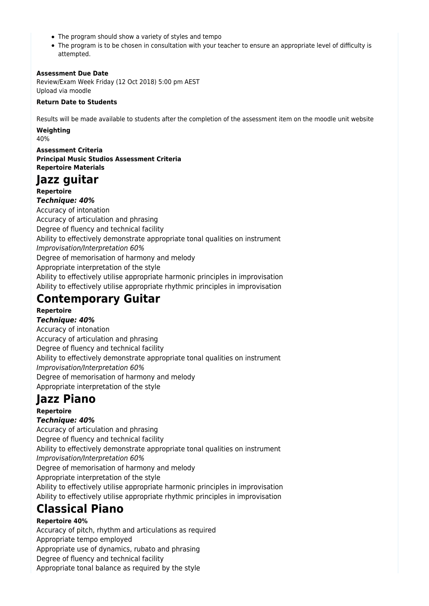- The program should show a variety of styles and tempo
- The program is to be chosen in consultation with your teacher to ensure an appropriate level of difficulty is attempted.

### **Assessment Due Date**

Review/Exam Week Friday (12 Oct 2018) 5:00 pm AEST Upload via moodle

### **Return Date to Students**

Results will be made available to students after the completion of the assessment item on the moodle unit website

#### **Weighting**

40%

**Assessment Criteria Principal Music Studios Assessment Criteria Repertoire Materials**

# **Jazz guitar**

**Repertoire** *Technique: 40%* Accuracy of intonation Accuracy of articulation and phrasing Degree of fluency and technical facility Ability to effectively demonstrate appropriate tonal qualities on instrument Improvisation/Interpretation 60% Degree of memorisation of harmony and melody Appropriate interpretation of the style Ability to effectively utilise appropriate harmonic principles in improvisation Ability to effectively utilise appropriate rhythmic principles in improvisation

# **Contemporary Guitar**

### **Repertoire**

*Technique: 40%* Accuracy of intonation Accuracy of articulation and phrasing Degree of fluency and technical facility Ability to effectively demonstrate appropriate tonal qualities on instrument Improvisation/Interpretation 60% Degree of memorisation of harmony and melody Appropriate interpretation of the style

# **Jazz Piano**

### **Repertoire**

### *Technique: 40%*

Accuracy of articulation and phrasing Degree of fluency and technical facility Ability to effectively demonstrate appropriate tonal qualities on instrument Improvisation/Interpretation 60% Degree of memorisation of harmony and melody Appropriate interpretation of the style Ability to effectively utilise appropriate harmonic principles in improvisation Ability to effectively utilise appropriate rhythmic principles in improvisation

# **Classical Piano**

## **Repertoire 40%**

Accuracy of pitch, rhythm and articulations as required Appropriate tempo employed Appropriate use of dynamics, rubato and phrasing Degree of fluency and technical facility Appropriate tonal balance as required by the style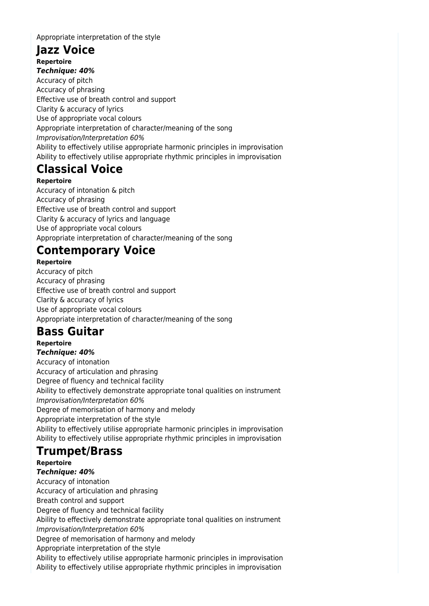Appropriate interpretation of the style

## **Jazz Voice Repertoire**

*Technique: 40%* Accuracy of pitch Accuracy of phrasing Effective use of breath control and support Clarity & accuracy of lyrics Use of appropriate vocal colours Appropriate interpretation of character/meaning of the song Improvisation/Interpretation 60% Ability to effectively utilise appropriate harmonic principles in improvisation Ability to effectively utilise appropriate rhythmic principles in improvisation

# **Classical Voice**

**Repertoire** Accuracy of intonation & pitch Accuracy of phrasing Effective use of breath control and support Clarity & accuracy of lyrics and language Use of appropriate vocal colours Appropriate interpretation of character/meaning of the song

# **Contemporary Voice**

**Repertoire** Accuracy of pitch Accuracy of phrasing Effective use of breath control and support Clarity & accuracy of lyrics Use of appropriate vocal colours Appropriate interpretation of character/meaning of the song

# **Bass Guitar**

**Repertoire** *Technique: 40%* Accuracy of intonation Accuracy of articulation and phrasing Degree of fluency and technical facility Ability to effectively demonstrate appropriate tonal qualities on instrument Improvisation/Interpretation 60% Degree of memorisation of harmony and melody Appropriate interpretation of the style Ability to effectively utilise appropriate harmonic principles in improvisation Ability to effectively utilise appropriate rhythmic principles in improvisation

# **Trumpet/Brass**

**Repertoire** *Technique: 40%* Accuracy of intonation Accuracy of articulation and phrasing Breath control and support Degree of fluency and technical facility Ability to effectively demonstrate appropriate tonal qualities on instrument Improvisation/Interpretation 60% Degree of memorisation of harmony and melody Appropriate interpretation of the style Ability to effectively utilise appropriate harmonic principles in improvisation Ability to effectively utilise appropriate rhythmic principles in improvisation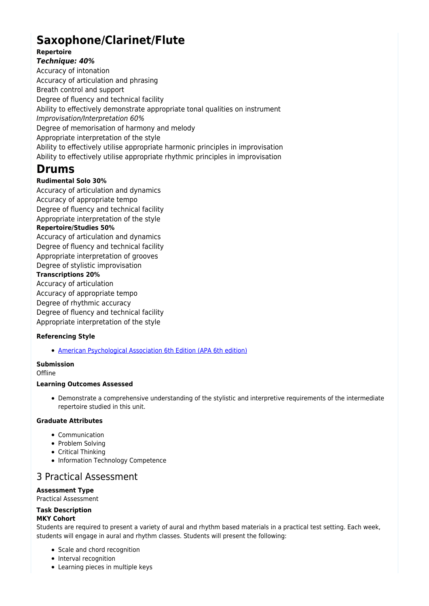# **Saxophone/Clarinet/Flute**

#### **Repertoire** *Technique: 40%*

Accuracy of intonation Accuracy of articulation and phrasing Breath control and support Degree of fluency and technical facility Ability to effectively demonstrate appropriate tonal qualities on instrument Improvisation/Interpretation 60% Degree of memorisation of harmony and melody Appropriate interpretation of the style Ability to effectively utilise appropriate harmonic principles in improvisation Ability to effectively utilise appropriate rhythmic principles in improvisation

# **Drums**

### **Rudimental Solo 30%**

Accuracy of articulation and dynamics Accuracy of appropriate tempo Degree of fluency and technical facility Appropriate interpretation of the style **Repertoire/Studies 50%** Accuracy of articulation and dynamics Degree of fluency and technical facility Appropriate interpretation of grooves Degree of stylistic improvisation **Transcriptions 20%** Accuracy of articulation Accuracy of appropriate tempo Degree of rhythmic accuracy Degree of fluency and technical facility Appropriate interpretation of the style

### **Referencing Style**

[American Psychological Association 6th Edition \(APA 6th edition\)](https://sportal.cqu.edu.au/__data/assets/pdf_file/0026/107684/APA_Referencing_Guide-2019.pdf)

## **Submission**

**Offline** 

### **Learning Outcomes Assessed**

Demonstrate a comprehensive understanding of the stylistic and interpretive requirements of the intermediate repertoire studied in this unit.

### **Graduate Attributes**

- Communication
- Problem Solving
- Critical Thinking
- Information Technology Competence

## 3 Practical Assessment

### **Assessment Type**

Practical Assessment

#### **Task Description MKY Cohort**

Students are required to present a variety of aural and rhythm based materials in a practical test setting. Each week, students will engage in aural and rhythm classes. Students will present the following:

- Scale and chord recognition
- Interval recognition
- Learning pieces in multiple keys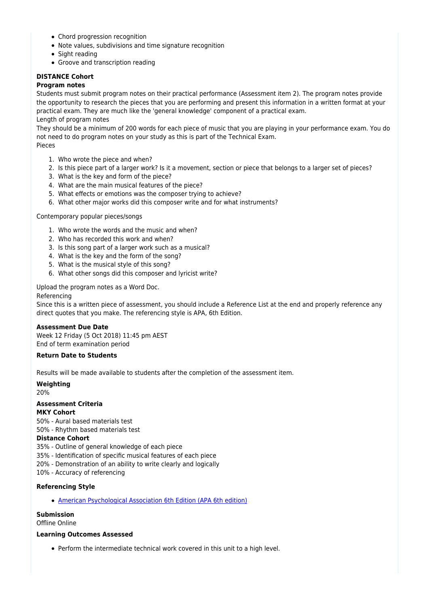- Chord progression recognition
- Note values, subdivisions and time signature recognition
- Sight reading
- Groove and transcription reading

### **DISTANCE Cohort**

#### **Program notes**

Students must submit program notes on their practical performance (Assessment item 2). The program notes provide the opportunity to research the pieces that you are performing and present this information in a written format at your practical exam. They are much like the 'general knowledge' component of a practical exam. Length of program notes

They should be a minimum of 200 words for each piece of music that you are playing in your performance exam. You do not need to do program notes on your study as this is part of the Technical Exam.

Pieces

- 1. Who wrote the piece and when?
- 2. Is this piece part of a larger work? Is it a movement, section or piece that belongs to a larger set of pieces?
- 3. What is the key and form of the piece?
- 4. What are the main musical features of the piece?
- 5. What effects or emotions was the composer trying to achieve?
- 6. What other major works did this composer write and for what instruments?

#### Contemporary popular pieces/songs

- 1. Who wrote the words and the music and when?
- 2. Who has recorded this work and when?
- 3. Is this song part of a larger work such as a musical?
- 4. What is the key and the form of the song?
- 5. What is the musical style of this song?
- 6. What other songs did this composer and lyricist write?

Upload the program notes as a Word Doc.

#### Referencing

Since this is a written piece of assessment, you should include a Reference List at the end and properly reference any direct quotes that you make. The referencing style is APA, 6th Edition.

#### **Assessment Due Date**

Week 12 Friday (5 Oct 2018) 11:45 pm AEST End of term examination period

### **Return Date to Students**

Results will be made available to students after the completion of the assessment item.

#### **Weighting**

20%

#### **Assessment Criteria MKY Cohort**

50% - Aural based materials test

50% - Rhythm based materials test

### **Distance Cohort**

35% - Outline of general knowledge of each piece

- 35% Identification of specific musical features of each piece
- 20% Demonstration of an ability to write clearly and logically
- 10% Accuracy of referencing

### **Referencing Style**

[American Psychological Association 6th Edition \(APA 6th edition\)](https://sportal.cqu.edu.au/__data/assets/pdf_file/0026/107684/APA_Referencing_Guide-2019.pdf)

### **Submission**

Offline Online

#### **Learning Outcomes Assessed**

Perform the intermediate technical work covered in this unit to a high level.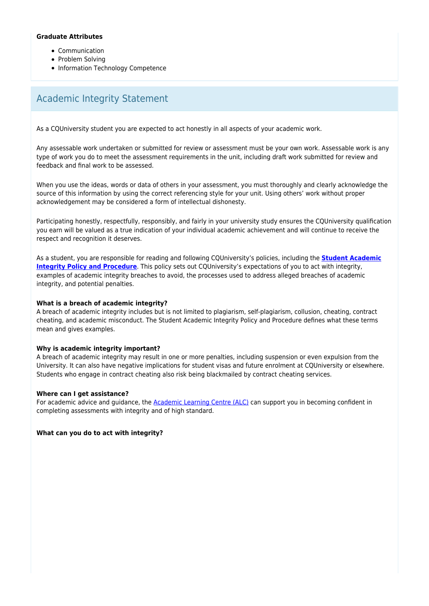#### **Graduate Attributes**

- Communication
- Problem Solvina
- Information Technology Competence

## Academic Integrity Statement

As a CQUniversity student you are expected to act honestly in all aspects of your academic work.

Any assessable work undertaken or submitted for review or assessment must be your own work. Assessable work is any type of work you do to meet the assessment requirements in the unit, including draft work submitted for review and feedback and final work to be assessed.

When you use the ideas, words or data of others in your assessment, you must thoroughly and clearly acknowledge the source of this information by using the correct referencing style for your unit. Using others' work without proper acknowledgement may be considered a form of intellectual dishonesty.

Participating honestly, respectfully, responsibly, and fairly in your university study ensures the CQUniversity qualification you earn will be valued as a true indication of your individual academic achievement and will continue to receive the respect and recognition it deserves.

As a student, you are responsible for reading and following CQUniversity's policies, including the **[Student Academic](https://www.cqu.edu.au/policy/sharepoint-document-download?file_uri={BE8380F3-F86D-4C55-AC0D-84A81EAFD6A2}/Student%20Academic%20Integrity%20Policy%20and%20Procedure%20(formerly%20known%20as%20the%20Academic%20Misconduct%20Procedure).pdf) [Integrity Policy and Procedure](https://www.cqu.edu.au/policy/sharepoint-document-download?file_uri={BE8380F3-F86D-4C55-AC0D-84A81EAFD6A2}/Student%20Academic%20Integrity%20Policy%20and%20Procedure%20(formerly%20known%20as%20the%20Academic%20Misconduct%20Procedure).pdf)**. This policy sets out CQUniversity's expectations of you to act with integrity, examples of academic integrity breaches to avoid, the processes used to address alleged breaches of academic integrity, and potential penalties.

#### **What is a breach of academic integrity?**

A breach of academic integrity includes but is not limited to plagiarism, self-plagiarism, collusion, cheating, contract cheating, and academic misconduct. The Student Academic Integrity Policy and Procedure defines what these terms mean and gives examples.

#### **Why is academic integrity important?**

A breach of academic integrity may result in one or more penalties, including suspension or even expulsion from the University. It can also have negative implications for student visas and future enrolment at CQUniversity or elsewhere. Students who engage in contract cheating also risk being blackmailed by contract cheating services.

#### **Where can I get assistance?**

For academic advice and guidance, the [Academic Learning Centre \(ALC\)](https://www.cqu.edu.au/student-life/academic-learning-centre) can support you in becoming confident in completing assessments with integrity and of high standard.

**What can you do to act with integrity?**